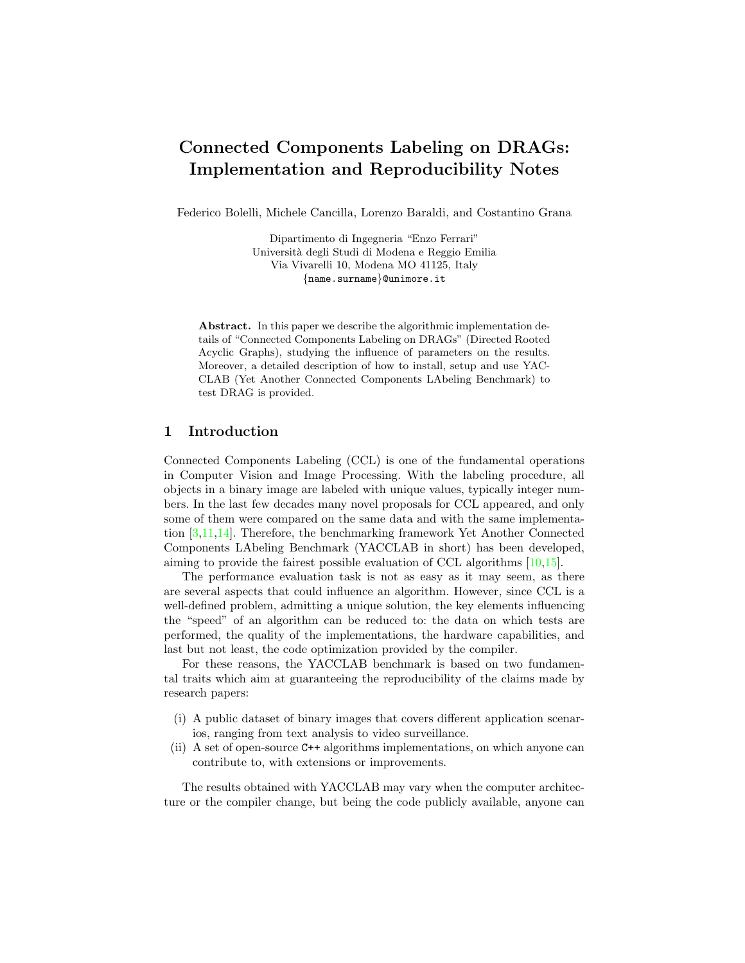# Connected Components Labeling on DRAGs: Implementation and Reproducibility Notes

Federico Bolelli, Michele Cancilla, Lorenzo Baraldi, and Costantino Grana

Dipartimento di Ingegneria "Enzo Ferrari" Universit`a degli Studi di Modena e Reggio Emilia Via Vivarelli 10, Modena MO 41125, Italy {name.surname}@unimore.it

Abstract. In this paper we describe the algorithmic implementation details of "Connected Components Labeling on DRAGs" (Directed Rooted Acyclic Graphs), studying the influence of parameters on the results. Moreover, a detailed description of how to install, setup and use YAC-CLAB (Yet Another Connected Components LAbeling Benchmark) to test DRAG is provided.

## 1 Introduction

Connected Components Labeling (CCL) is one of the fundamental operations in Computer Vision and Image Processing. With the labeling procedure, all objects in a binary image are labeled with unique values, typically integer numbers. In the last few decades many novel proposals for CCL appeared, and only some of them were compared on the same data and with the same implementation [\[3](#page-3-0)[,11,](#page-4-0)[14\]](#page-4-1). Therefore, the benchmarking framework Yet Another Connected Components LAbeling Benchmark (YACCLAB in short) has been developed, aiming to provide the fairest possible evaluation of CCL algorithms [\[10,](#page-4-2)[15\]](#page-4-3).

The performance evaluation task is not as easy as it may seem, as there are several aspects that could influence an algorithm. However, since CCL is a well-defined problem, admitting a unique solution, the key elements influencing the "speed" of an algorithm can be reduced to: the data on which tests are performed, the quality of the implementations, the hardware capabilities, and last but not least, the code optimization provided by the compiler.

For these reasons, the YACCLAB benchmark is based on two fundamental traits which aim at guaranteeing the reproducibility of the claims made by research papers:

- (i) A public dataset of binary images that covers different application scenarios, ranging from text analysis to video surveillance.
- (ii) A set of open-source C++ algorithms implementations, on which anyone can contribute to, with extensions or improvements.

The results obtained with YACCLAB may vary when the computer architecture or the compiler change, but being the code publicly available, anyone can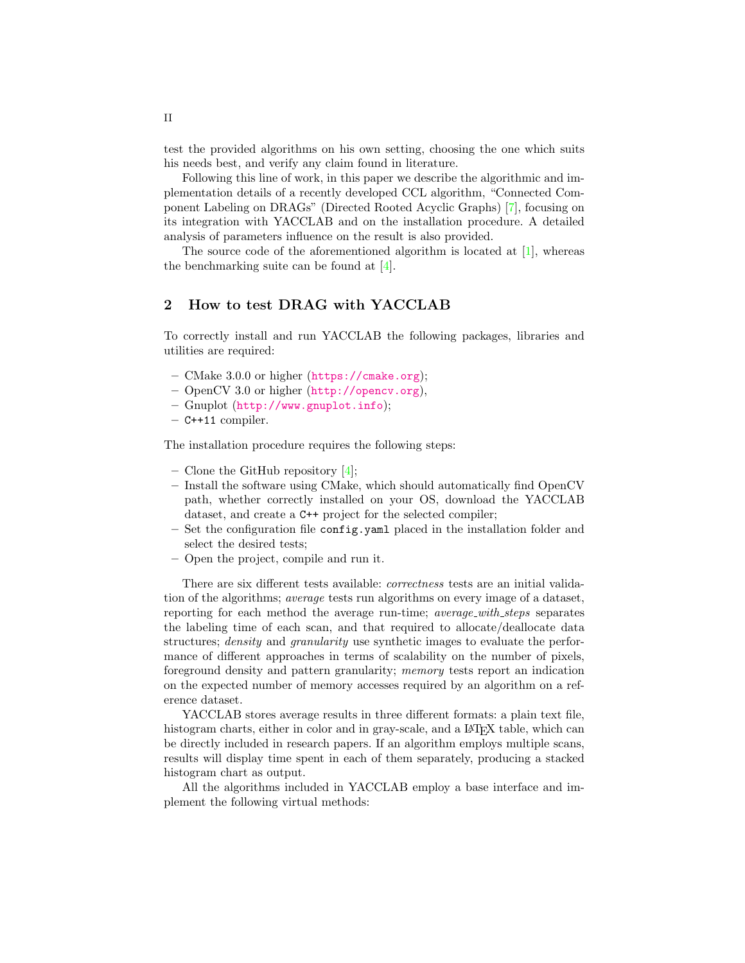test the provided algorithms on his own setting, choosing the one which suits his needs best, and verify any claim found in literature.

Following this line of work, in this paper we describe the algorithmic and implementation details of a recently developed CCL algorithm, "Connected Component Labeling on DRAGs" (Directed Rooted Acyclic Graphs) [\[7\]](#page-4-4), focusing on its integration with YACCLAB and on the installation procedure. A detailed analysis of parameters influence on the result is also provided.

The source code of the aforementioned algorithm is located at [\[1\]](#page-3-1), whereas the benchmarking suite can be found at [\[4\]](#page-3-2).

#### 2 How to test DRAG with YACCLAB

To correctly install and run YACCLAB the following packages, libraries and utilities are required:

- CMake 3.0.0 or higher (<https://cmake.org>);
- OpenCV 3.0 or higher (<http://opencv.org>),
- Gnuplot (<http://www.gnuplot.info>);
- $-$  C++11 compiler.

The installation procedure requires the following steps:

- Clone the GitHub repository  $[4]$ ;
- Install the software using CMake, which should automatically find OpenCV path, whether correctly installed on your OS, download the YACCLAB dataset, and create a C++ project for the selected compiler;
- Set the configuration file config.yaml placed in the installation folder and select the desired tests;
- Open the project, compile and run it.

There are six different tests available: *correctness* tests are an initial validation of the algorithms; average tests run algorithms on every image of a dataset, reporting for each method the average run-time; *average\_with\_steps* separates the labeling time of each scan, and that required to allocate/deallocate data structures; *density* and *granularity* use synthetic images to evaluate the performance of different approaches in terms of scalability on the number of pixels, foreground density and pattern granularity; memory tests report an indication on the expected number of memory accesses required by an algorithm on a reference dataset.

YACCLAB stores average results in three different formats: a plain text file, histogram charts, either in color and in gray-scale, and a LAT<sub>E</sub>X table, which can be directly included in research papers. If an algorithm employs multiple scans, results will display time spent in each of them separately, producing a stacked histogram chart as output.

All the algorithms included in YACCLAB employ a base interface and implement the following virtual methods:

II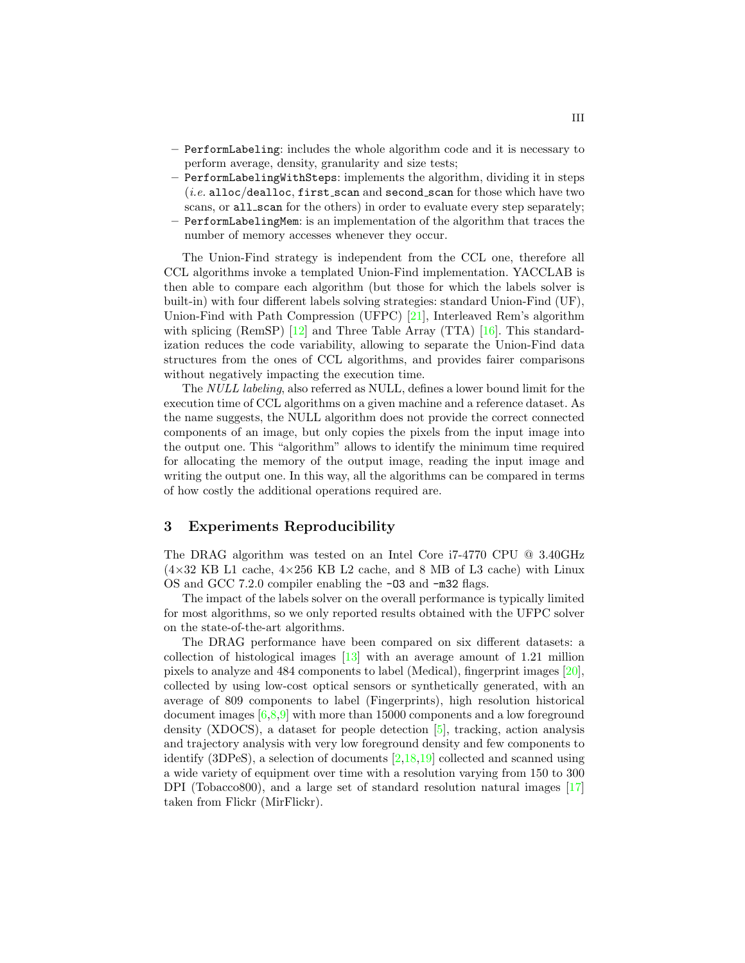- PerformLabeling: includes the whole algorithm code and it is necessary to perform average, density, granularity and size tests;
- PerformLabelingWithSteps: implements the algorithm, dividing it in steps  $(i.e.$  alloc/dealloc, first\_scan and second\_scan for those which have two scans, or all\_scan for the others) in order to evaluate every step separately; – PerformLabelingMem: is an implementation of the algorithm that traces the
	- number of memory accesses whenever they occur.

The Union-Find strategy is independent from the CCL one, therefore all CCL algorithms invoke a templated Union-Find implementation. YACCLAB is then able to compare each algorithm (but those for which the labels solver is built-in) with four different labels solving strategies: standard Union-Find (UF), Union-Find with Path Compression (UFPC) [\[21\]](#page-4-5), Interleaved Rem's algorithm with splicing (RemSP)  $[12]$  and Three Table Array (TTA)  $[16]$ . This standardization reduces the code variability, allowing to separate the Union-Find data structures from the ones of CCL algorithms, and provides fairer comparisons without negatively impacting the execution time.

The NULL labeling, also referred as NULL, defines a lower bound limit for the execution time of CCL algorithms on a given machine and a reference dataset. As the name suggests, the NULL algorithm does not provide the correct connected components of an image, but only copies the pixels from the input image into the output one. This "algorithm" allows to identify the minimum time required for allocating the memory of the output image, reading the input image and writing the output one. In this way, all the algorithms can be compared in terms of how costly the additional operations required are.

#### 3 Experiments Reproducibility

The DRAG algorithm was tested on an Intel Core i7-4770 CPU @ 3.40GHz  $(4\times32$  KB L1 cache,  $4\times256$  KB L2 cache, and 8 MB of L3 cache) with Linux OS and GCC 7.2.0 compiler enabling the -O3 and -m32 flags.

The impact of the labels solver on the overall performance is typically limited for most algorithms, so we only reported results obtained with the UFPC solver on the state-of-the-art algorithms.

The DRAG performance have been compared on six different datasets: a collection of histological images [\[13\]](#page-4-8) with an average amount of 1.21 million pixels to analyze and 484 components to label (Medical), fingerprint images [\[20\]](#page-4-9), collected by using low-cost optical sensors or synthetically generated, with an average of 809 components to label (Fingerprints), high resolution historical document images [\[6,](#page-4-10)[8](#page-4-11)[,9\]](#page-4-12) with more than 15000 components and a low foreground density (XDOCS), a dataset for people detection [\[5\]](#page-3-3), tracking, action analysis and trajectory analysis with very low foreground density and few components to identify (3DPeS), a selection of documents [\[2,](#page-3-4)[18](#page-4-13)[,19\]](#page-4-14) collected and scanned using a wide variety of equipment over time with a resolution varying from 150 to 300 DPI (Tobacco800), and a large set of standard resolution natural images [\[17\]](#page-4-15) taken from Flickr (MirFlickr).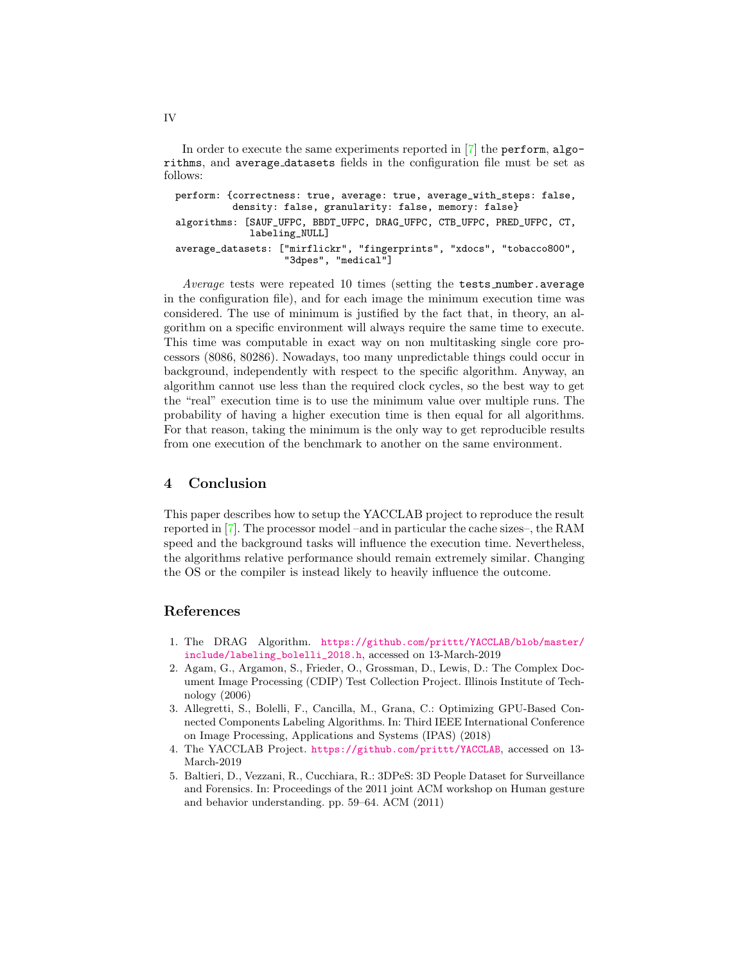In order to execute the same experiments reported in [\[7\]](#page-4-4) the perform, algorithms, and average datasets fields in the configuration file must be set as follows:

```
perform: {correctness: true, average: true, average_with_steps: false,
          density: false, granularity: false, memory: false}
algorithms: [SAUF_UFPC, BBDT_UFPC, DRAG_UFPC, CTB_UFPC, PRED_UFPC, CT,
             labeling_NULL]
average_datasets: ["mirflickr", "fingerprints", "xdocs", "tobacco800",
                   "3dpes", "medical"]
```
Average tests were repeated 10 times (setting the tests\_number.average in the configuration file), and for each image the minimum execution time was considered. The use of minimum is justified by the fact that, in theory, an algorithm on a specific environment will always require the same time to execute. This time was computable in exact way on non multitasking single core processors (8086, 80286). Nowadays, too many unpredictable things could occur in background, independently with respect to the specific algorithm. Anyway, an algorithm cannot use less than the required clock cycles, so the best way to get the "real" execution time is to use the minimum value over multiple runs. The probability of having a higher execution time is then equal for all algorithms. For that reason, taking the minimum is the only way to get reproducible results from one execution of the benchmark to another on the same environment.

#### 4 Conclusion

This paper describes how to setup the YACCLAB project to reproduce the result reported in [\[7\]](#page-4-4). The processor model –and in particular the cache sizes–, the RAM speed and the background tasks will influence the execution time. Nevertheless, the algorithms relative performance should remain extremely similar. Changing the OS or the compiler is instead likely to heavily influence the outcome.

### References

- <span id="page-3-1"></span>1. The DRAG Algorithm. [https://github.com/prittt/YACCLAB/blob/master/](https://github.com/prittt/YACCLAB/blob/master/include/labeling_bolelli_2018.h) [include/labeling\\_bolelli\\_2018.h](https://github.com/prittt/YACCLAB/blob/master/include/labeling_bolelli_2018.h), accessed on 13-March-2019
- <span id="page-3-4"></span>2. Agam, G., Argamon, S., Frieder, O., Grossman, D., Lewis, D.: The Complex Document Image Processing (CDIP) Test Collection Project. Illinois Institute of Technology (2006)
- <span id="page-3-0"></span>3. Allegretti, S., Bolelli, F., Cancilla, M., Grana, C.: Optimizing GPU-Based Connected Components Labeling Algorithms. In: Third IEEE International Conference on Image Processing, Applications and Systems (IPAS) (2018)
- <span id="page-3-2"></span>4. The YACCLAB Project. <https://github.com/prittt/YACCLAB>, accessed on 13- March-2019
- <span id="page-3-3"></span>5. Baltieri, D., Vezzani, R., Cucchiara, R.: 3DPeS: 3D People Dataset for Surveillance and Forensics. In: Proceedings of the 2011 joint ACM workshop on Human gesture and behavior understanding. pp. 59–64. ACM (2011)